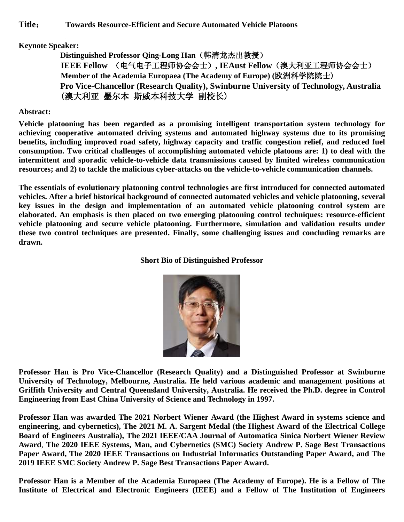## **Keynote Speaker:**

**Distinguished Professor Qing-Long Han**(韩清龙杰出教授) **IEEE Fellow** (电气电子工程师协会会士)**, IEAust Fellow**(澳大利亚工程师协会会士) **Member of the Academia Europaea (The Academy of Europe) (**欧洲科学院院士) **Pro Vice-Chancellor (Research Quality), Swinburne University of Technology, Australia** (澳大利亚 墨尔本 斯威本科技大学 副校长)

## **Abstract:**

**Vehicle platooning has been regarded as a promising intelligent transportation system technology for achieving cooperative automated driving systems and automated highway systems due to its promising benefits, including improved road safety, highway capacity and traffic congestion relief, and reduced fuel consumption. Two critical challenges of accomplishing automated vehicle platoons are: 1) to deal with the intermittent and sporadic vehicle-to-vehicle data transmissions caused by limited wireless communication resources; and 2) to tackle the malicious cyber-attacks on the vehicle-to-vehicle communication channels.**

**The essentials of evolutionary platooning control technologies are first introduced for connected automated vehicles. After a brief historical background of connected automated vehicles and vehicle platooning, several key issues in the design and implementation of an automated vehicle platooning control system are elaborated. An emphasis is then placed on two emerging platooning control techniques: resource-efficient vehicle platooning and secure vehicle platooning. Furthermore, simulation and validation results under these two control techniques are presented. Finally, some challenging issues and concluding remarks are drawn.**

## **Short Bio of Distinguished Professor**



**Professor Han is Pro Vice-Chancellor (Research Quality) and a Distinguished Professor at Swinburne University of Technology, Melbourne, Australia. He held various academic and management positions at Griffith University and Central Queensland University, Australia. He received the Ph.D. degree in Control Engineering from East China University of Science and Technology in 1997.**

**Professor Han was awarded The 2021 Norbert Wiener Award (the Highest Award in systems science and engineering, and cybernetics), The 2021 M. A. Sargent Medal (the Highest Award of the Electrical College Board of Engineers Australia), The 2021 IEEE/CAA Journal of Automatica Sinica Norbert Wiener Review Award**, **The 2020 IEEE Systems, Man, and Cybernetics (SMC) Society Andrew P. Sage Best Transactions Paper Award, The 2020 IEEE Transactions on Industrial Informatics Outstanding Paper Award, and The 2019 IEEE SMC Society Andrew P. Sage Best Transactions Paper Award.**

**Professor Han is a Member of the Academia Europaea (The Academy of Europe). He is a Fellow of The Institute of Electrical and Electronic Engineers (IEEE) and a Fellow of The Institution of Engineers**